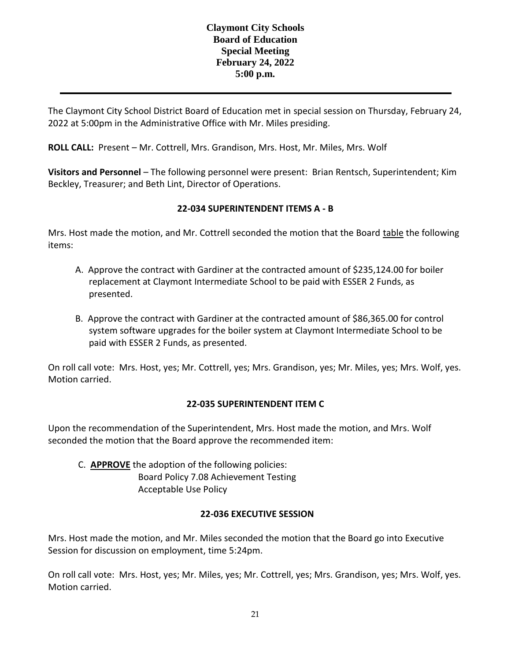## **Claymont City Schools Board of Education Special Meeting February 24, 2022 5:00 p.m.**

The Claymont City School District Board of Education met in special session on Thursday, February 24, 2022 at 5:00pm in the Administrative Office with Mr. Miles presiding.

**ROLL CALL:** Present – Mr. Cottrell, Mrs. Grandison, Mrs. Host, Mr. Miles, Mrs. Wolf

**Visitors and Personnel** – The following personnel were present: Brian Rentsch, Superintendent; Kim Beckley, Treasurer; and Beth Lint, Director of Operations.

# **22-034 SUPERINTENDENT ITEMS A - B**

Mrs. Host made the motion, and Mr. Cottrell seconded the motion that the Board table the following items:

- A. Approve the contract with Gardiner at the contracted amount of \$235,124.00 for boiler replacement at Claymont Intermediate School to be paid with ESSER 2 Funds, as presented.
- B. Approve the contract with Gardiner at the contracted amount of \$86,365.00 for control system software upgrades for the boiler system at Claymont Intermediate School to be paid with ESSER 2 Funds, as presented.

On roll call vote: Mrs. Host, yes; Mr. Cottrell, yes; Mrs. Grandison, yes; Mr. Miles, yes; Mrs. Wolf, yes. Motion carried.

## **22-035 SUPERINTENDENT ITEM C**

Upon the recommendation of the Superintendent, Mrs. Host made the motion, and Mrs. Wolf seconded the motion that the Board approve the recommended item:

C. **APPROVE** the adoption of the following policies: Board Policy 7.08 Achievement Testing Acceptable Use Policy

## **22-036 EXECUTIVE SESSION**

Mrs. Host made the motion, and Mr. Miles seconded the motion that the Board go into Executive Session for discussion on employment, time 5:24pm.

On roll call vote: Mrs. Host, yes; Mr. Miles, yes; Mr. Cottrell, yes; Mrs. Grandison, yes; Mrs. Wolf, yes. Motion carried.